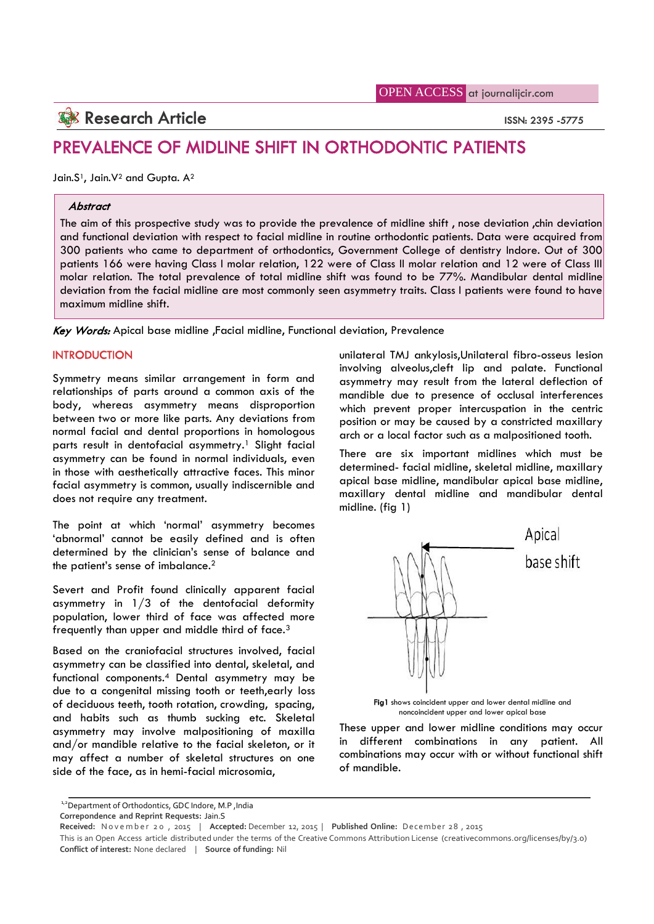# **Research Article ISSN: 2395 -5775**

## **PREVALENCE OF MIDLINE SHIFT IN ORTHODONTIC PATIENTS**

Jain.S<sup>1</sup>, Jain.V<sup>2</sup> and Gupta. A<sup>2</sup>

#### *Abstract*

The aim of this prospective study was to provide the prevalence of midline shift , nose deviation ,chin deviation and functional deviation with respect to facial midline in routine orthodontic patients. Data were acquired from 300 patients who came to department of orthodontics, Government College of dentistry Indore. Out of 300 patients 166 were having Class I molar relation, 122 were of Class II molar relation and 12 were of Class III molar relation. The total prevalence of total midline shift was found to be 77%. Mandibular dental midline deviation from the facial midline are most commonly seen asymmetry traits. Class I patients were found to have maximum midline shift.

*Key Words:* Apical base midline ,Facial midline, Functional deviation, Prevalence

## **INTRODUCTION**

Symmetry means similar arrangement in form and relationships of parts around a common axis of the body, whereas asymmetry means disproportion between two or more like parts. Any deviations from normal facial and dental proportions in homologous parts result in dentofacial asymmetry.<sup>1</sup> Slight facial asymmetry can be found in normal individuals, even in those with aesthetically attractive faces. This minor facial asymmetry is common, usually indiscernible and does not require any treatment.

The point at which 'normal' asymmetry becomes 'abnormal' cannot be easily defined and is often determined by the clinician's sense of balance and the patient's sense of imbalance.<sup>2</sup>

Severt and Profit found clinically apparent facial asymmetry in  $1/3$  of the dentofacial deformity population, lower third of face was affected more frequently than upper and middle third of face.<sup>3</sup>

Based on the craniofacial structures involved, facial asymmetry can be classified into dental, skeletal, and functional components.<sup>4</sup> Dental asymmetry may be due to a congenital missing tooth or teeth,early loss of deciduous teeth, tooth rotation, crowding, spacing, and habits such as thumb sucking etc. Skeletal asymmetry may involve malpositioning of maxilla and/or mandible relative to the facial skeleton, or it may affect a number of skeletal structures on one side of the face, as in hemi-facial microsomia,

unilateral TMJ ankylosis,Unilateral fibro-osseus lesion involving alveolus,cleft lip and palate. Functional asymmetry may result from the lateral deflection of mandible due to presence of occlusal interferences which prevent proper intercuspation in the centric position or may be caused by a constricted maxillary arch or a local factor such as a malpositioned tooth.

There are six important midlines which must be determined- facial midline, skeletal midline, maxillary apical base midline, mandibular apical base midline, maxillary dental midline and mandibular dental midline. (fig 1)



**Fig1** shows coincident upper and lower dental midline and noncoincident upper and lower apical base

These upper and lower midline conditions may occur in different combinations in any patient. All combinations may occur with or without functional shift of mandible.

<sup>1,2</sup>Department of Orthodontics, GDC Indore, M.P, India

**Correpondence and Reprint Requests:** Jain.S

Received: November 20, 2015 | Accepted: December 12, 2015 | Published Online: December 28, 2015

This is an Open Access article distributed under the terms of the Creative Commons Attribution License (creativecommons.org/licenses/by/3.0) **Conflict of interest:** None declared | **Source of funding:** Nil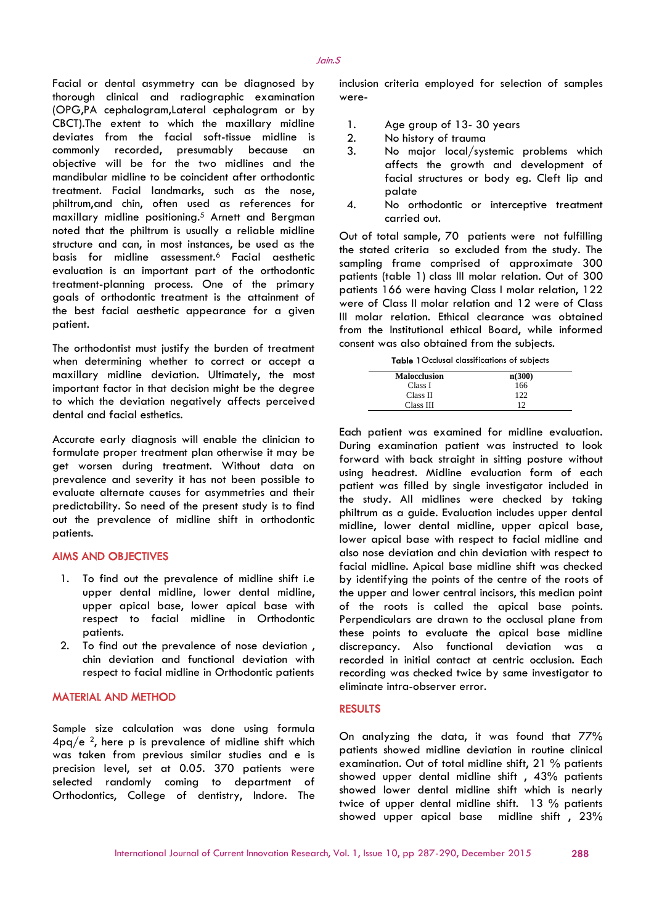Facial or dental asymmetry can be diagnosed by thorough clinical and radiographic examination (OPG,PA cephalogram,Lateral cephalogram or by CBCT).The extent to which the maxillary midline deviates from the facial soft-tissue midline is commonly recorded, presumably because an objective will be for the two midlines and the mandibular midline to be coincident after orthodontic treatment. Facial landmarks, such as the nose, philtrum,and chin, often used as references for maxillary midline positioning.<sup>5</sup> Arnett and Bergman noted that the philtrum is usually a reliable midline structure and can, in most instances, be used as the basis for midline assessment.<sup>6</sup> Facial aesthetic evaluation is an important part of the orthodontic treatment-planning process. One of the primary goals of orthodontic treatment is the attainment of the best facial aesthetic appearance for a given patient.

The orthodontist must justify the burden of treatment when determining whether to correct or accept a maxillary midline deviation. Ultimately, the most important factor in that decision might be the degree to which the deviation negatively affects perceived dental and facial esthetics.

Accurate early diagnosis will enable the clinician to formulate proper treatment plan otherwise it may be get worsen during treatment. Without data on prevalence and severity it has not been possible to evaluate alternate causes for asymmetries and their predictability. So need of the present study is to find out the prevalence of midline shift in orthodontic patients.

## **AIMS AND OBJECTIVES**

- 1. To find out the prevalence of midline shift i.e upper dental midline, lower dental midline, upper apical base, lower apical base with respect to facial midline in Orthodontic patients.
- 2. To find out the prevalence of nose deviation , chin deviation and functional deviation with respect to facial midline in Orthodontic patients

### **MATERIAL AND METHOD**

Sample size calculation was done using formula  $4pq/e$  <sup>2</sup>, here p is prevalence of midline shift which was taken from previous similar studies and e is precision level, set at 0.05. 370 patients were selected randomly coming to department of Orthodontics, College of dentistry, Indore. The inclusion criteria employed for selection of samples were-

- Age group of 13-30 years
- 2. No history of trauma
- No major local/systemic problems which affects the growth and development of facial structures or body eg. Cleft lip and palate
- 4. No orthodontic or interceptive treatment carried out.

Out of total sample, 70 patients were not fulfilling the stated criteria so excluded from the study. The sampling frame comprised of approximate 300 patients (table 1) class III molar relation. Out of 300 patients 166 were having Class I molar relation, 122 were of Class II molar relation and 12 were of Class III molar relation. Ethical clearance was obtained from the Institutional ethical Board, while informed consent was also obtained from the subjects.

**Table 1**Occlusal classifications of subjects

| <b>Malocclusion</b> | n(300) |
|---------------------|--------|
| Class I             | 166    |
| Class II            | 122    |
| Class III           | 12     |

Each patient was examined for midline evaluation. During examination patient was instructed to look forward with back straight in sitting posture without using headrest. Midline evaluation form of each patient was filled by single investigator included in the study. All midlines were checked by taking philtrum as a guide. Evaluation includes upper dental midline, lower dental midline, upper apical base, lower apical base with respect to facial midline and also nose deviation and chin deviation with respect to facial midline. Apical base midline shift was checked by identifying the points of the centre of the roots of the upper and lower central incisors, this median point of the roots is called the apical base points. Perpendiculars are drawn to the occlusal plane from these points to evaluate the apical base midline discrepancy. Also functional deviation was a recorded in initial contact at centric occlusion. Each recording was checked twice by same investigator to eliminate intra-observer error.

#### **RESULTS**

On analyzing the data, it was found that 77% patients showed midline deviation in routine clinical examination. Out of total midline shift, 21 % patients showed upper dental midline shift , 43% patients showed lower dental midline shift which is nearly twice of upper dental midline shift. 13 % patients showed upper apical base midline shift , 23%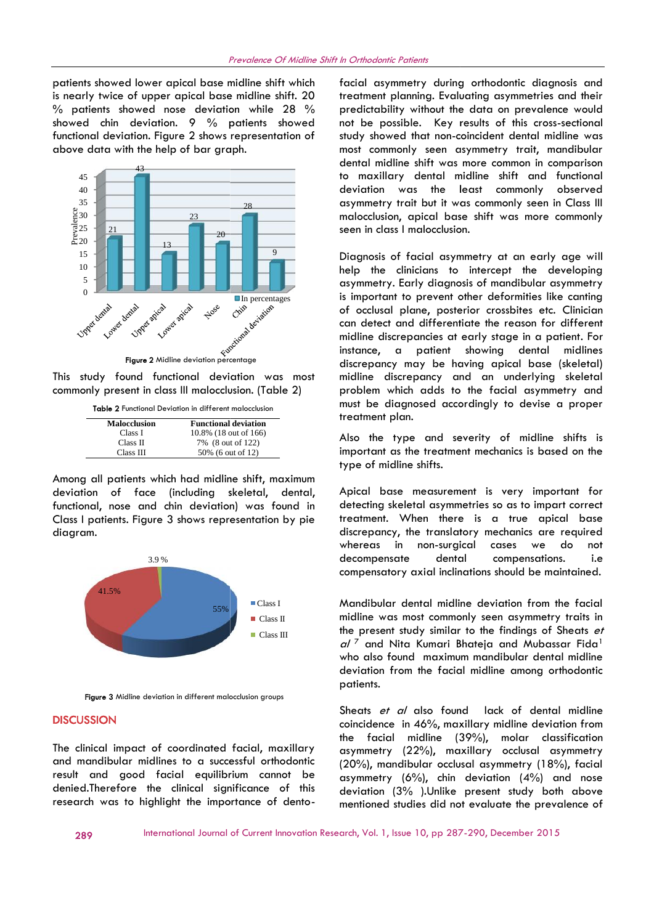patients showed lower apical base midline shift which fac is nearly twice of upper apical base midline shift. 20 % patients showed nose deviation while 28 % showed chin deviation. 9 % patients showed functional deviation. Figure 2 shows representation of above data with the help of bar graph.



This study found functional deviation was most commonly present in class III malocclusion. (Table 2)

| <b>Malocclusion</b> | <b>Functional deviation</b> |
|---------------------|-----------------------------|
| Class I             | 10.8% (18 out of 166)       |
| Class II            | 7% (8 out of 122)           |
| Class III           | 50% (6 out of 12)           |

Among all patients which had midline shift, maximum deviation of face (including skeletal, dental, functional, nose and chin deviation) was found in Class I patients. Figure 3 shows representation by pie diagram. I<br>
II  $\frac{10.8\%}{7\%}$  (8 out of 166)<br>
II  $\frac{7\%}{50\%}$  (6 out of 122)<br>
It s which had midline shift, maxim<br>
ace (including skeletal, dent<br>
and chin deviation) was found<br>
gure 3 shows representation by p<br>  $\frac{3.9\%}{5000}$ 



**Figure 3** Midline deviation in different malocclusion groups

#### **DISCUSSION**

The clinical impact of coordinated facial, maxillary and mandibular midlines to a successful orthodontic result and good facial equilibrium cannot be denied.Therefore the clinical significance of this research was to highlight the importance of dentofacial asymmetry during orthodontic diagnosis and treatment planning. Evaluating asymmetries and their predictability without the data on prevalence would not be possible. Key results of this cross-sectional study showed that non-coincident dental midline was most commonly seen asymmetry trait, mandibular dental midline shift was more common in comparison to maxillary dental midline shift and functional deviation was the least commonly observed asymmetry trait but it was commonly seen in Class III malocclusion, apical base shift was more commonly seen in class I malocclusion.

Diagnosis of facial asymmetry at an early age will help the clinicians to intercept the developing asymmetry. Early diagnosis of mandibular asymmetry is important to prevent other deformities like canting of occlusal plane, posterior crossbites etc. Clinician can detect and differentiate the reason for different Diagnosis of facial asymmetry at an early age will<br>help the clinicians to intercept the developing<br>asymmetry. Early diagnosis of mandibular asymmetry<br>is important to prevent other deformities like canting<br>of occlusal plane instance, a patient showing dental midlines discrepancy may be having apical base (skeletal) midline discrepancy and an underlying skeletal problem which adds to the facial asymmetry and must be diagnosed accordingly to devise a proper treatment plan. crusion, apical base shift was more commonly<br>in class I malocclusion.<br>the clinicians to intercept the developing<br>metry. Early diagnosis of mandibular asymmetry<br>obtant to prevent other deformities like conting<br>chemetry. Ear **Particular asymmetry** of the control of the controllation and the commentings of moral in symmetry. Early diagnosis of moralibular asymmetric symmetric symmetric controllation and the external differential the external d dentinal militaries sint to constrain and comparison of constrained and evidention of the constrained evidention and the constrained exist of the lead commonly observed and microlection, apical base shift was more commonl

Also the type and severity of midline shifts is important as the treatment mechanics is based on the type of midline shifts.

Apical base measurement is very important for detecting skeletal asymmetries so as to impart correct treatment. When there is a true apical base discrepancy, the translatory mechanics are required whereas in non-surgical cases we do not decompensate dental compensations. i.e compensatory axial inclinations should be maintained. discrepancy may be having apical base (skeletal)<br>midline discrepancy and an underlying skeletal<br>problem which adds to the facial asymmetry and<br>must be diagnosed accordingly to devise a proper<br>treatment plan.<br>Also the type

Mandibular dental midline deviation from the facial midline was most commonly seen asymmetry traits in the present study similar to the findings of Sheats *et* al<sup>7</sup> and Nita Kumari Bhateja and Mubassar Fida<sup>1</sup> who also found maximum mandibular dental midline deviation from the facial midline among orthodontic patients.

Sheats *et al* also found lack of dental midline coincidence in 46%, maxillary midline deviation from the facial midline (39%), molar classification asymmetry (22%), maxillary occlusal asymmetry (20%), mandibular occlusal asymmetry (18%), facial asymmetry  $(6\%)$ , chin deviation  $(4\%)$  and nose deviation (3% ).Unlike present study both above mentioned studies did not evaluate the prevalence of **EXEMPLE SOW (6 out of 12)** important as the treathment mechanics is based on the treathment strep experient to the mail of the main specifier and the desired of the main specifical desired in the desired of the main speci